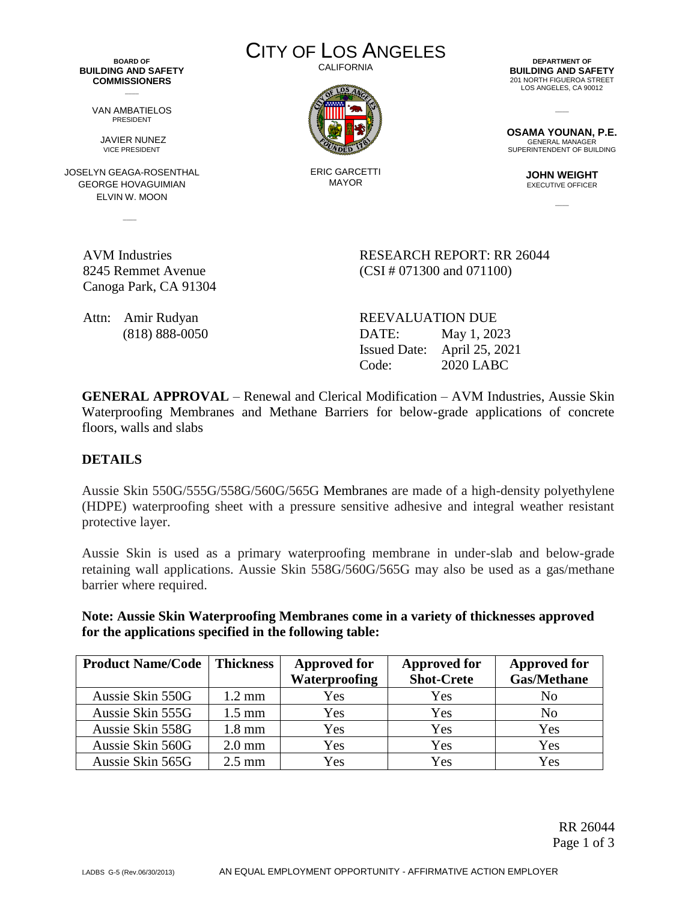**BOARD OF BUILDING AND SAFETY COMMISSIONERS**  $\overline{\phantom{a}}$ 

> VAN AMBATIELOS PRESIDENT

JAVIER NUNEZ VICE PRESIDENT

JOSELYN GEAGA-ROSENTHAL GEORGE HOVAGUIMIAN ELVIN W. MOON

 $\sim$ 

8245 Remmet Avenue

Canoga Park, CA 91304

CITY OF LOS ANGELES CALIFORNIA



ERIC GARCETTI MAYOR

**DEPARTMENT OF BUILDING AND SAFETY** 201 NORTH FIGUEROA STREET LOS ANGELES, CA 90012

**OSAMA YOUNAN, P.E.** GENERAL MANAGER SUPERINTENDENT OF BUILDING

 $\overline{\phantom{a}}$ 

**JOHN WEIGHT** EXECUTIVE OFFICER

 $\overline{\phantom{a}}$ 

AVM Industries RESEARCH REPORT: RR 26044 (CSI # 071300 and 071100)

Attn: Amir Rudyan REEVALUATION DUE (818) 888-0050 DATE: May 1, 2023 Issued Date: April 25, 2021 Code: 2020 LABC

**GENERAL APPROVAL** – Renewal and Clerical Modification – AVM Industries, Aussie Skin Waterproofing Membranes and Methane Barriers for below-grade applications of concrete floors, walls and slabs

## **DETAILS**

Aussie Skin 550G/555G/558G/560G/565G Membranes are made of a high-density polyethylene (HDPE) waterproofing sheet with a pressure sensitive adhesive and integral weather resistant protective layer.

Aussie Skin is used as a primary waterproofing membrane in under-slab and below-grade retaining wall applications. Aussie Skin 558G/560G/565G may also be used as a gas/methane barrier where required.

**Note: Aussie Skin Waterproofing Membranes come in a variety of thicknesses approved for the applications specified in the following table:**

| <b>Product Name/Code</b> | <b>Thickness</b> | <b>Approved for</b>  | <b>Approved for</b> | <b>Approved for</b> |
|--------------------------|------------------|----------------------|---------------------|---------------------|
|                          |                  | <b>Waterproofing</b> | <b>Shot-Crete</b>   | <b>Gas/Methane</b>  |
| Aussie Skin 550G         | $1.2 \text{ mm}$ | Yes                  | Yes                 | No                  |
| Aussie Skin 555G         | $1.5 \text{ mm}$ | Yes                  | Yes                 | No                  |
| Aussie Skin 558G         | $1.8 \text{ mm}$ | Yes                  | Yes                 | Yes                 |
| Aussie Skin 560G         | $2.0$ mm         | Yes                  | Yes                 | Yes                 |
| Aussie Skin 565G         | $2.5 \text{ mm}$ | Yes                  | Yes                 | Yes                 |

RR 26044 Page 1 of 3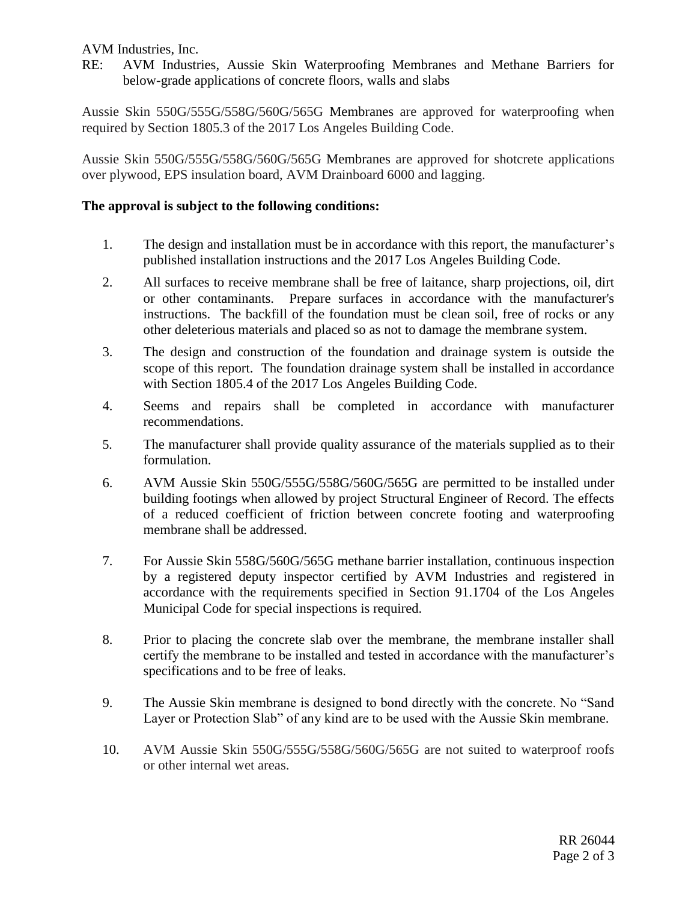AVM Industries, Inc.

RE: AVM Industries, Aussie Skin Waterproofing Membranes and Methane Barriers for below-grade applications of concrete floors, walls and slabs

Aussie Skin 550G/555G/558G/560G/565G Membranes are approved for waterproofing when required by Section 1805.3 of the 2017 Los Angeles Building Code.

Aussie Skin 550G/555G/558G/560G/565G Membranes are approved for shotcrete applications over plywood, EPS insulation board, AVM Drainboard 6000 and lagging.

## **The approval is subject to the following conditions:**

- 1. The design and installation must be in accordance with this report, the manufacturer's published installation instructions and the 2017 Los Angeles Building Code.
- 2. All surfaces to receive membrane shall be free of laitance, sharp projections, oil, dirt or other contaminants. Prepare surfaces in accordance with the manufacturer's instructions. The backfill of the foundation must be clean soil, free of rocks or any other deleterious materials and placed so as not to damage the membrane system.
- 3. The design and construction of the foundation and drainage system is outside the scope of this report. The foundation drainage system shall be installed in accordance with Section 1805.4 of the 2017 Los Angeles Building Code.
- 4. Seems and repairs shall be completed in accordance with manufacturer recommendations.
- 5. The manufacturer shall provide quality assurance of the materials supplied as to their formulation.
- 6. AVM Aussie Skin 550G/555G/558G/560G/565G are permitted to be installed under building footings when allowed by project Structural Engineer of Record. The effects of a reduced coefficient of friction between concrete footing and waterproofing membrane shall be addressed.
- 7. For Aussie Skin 558G/560G/565G methane barrier installation, continuous inspection by a registered deputy inspector certified by AVM Industries and registered in accordance with the requirements specified in Section 91.1704 of the Los Angeles Municipal Code for special inspections is required.
- 8. Prior to placing the concrete slab over the membrane, the membrane installer shall certify the membrane to be installed and tested in accordance with the manufacturer's specifications and to be free of leaks.
- 9. The Aussie Skin membrane is designed to bond directly with the concrete. No "Sand Layer or Protection Slab" of any kind are to be used with the Aussie Skin membrane.
- 10. AVM Aussie Skin 550G/555G/558G/560G/565G are not suited to waterproof roofs or other internal wet areas.